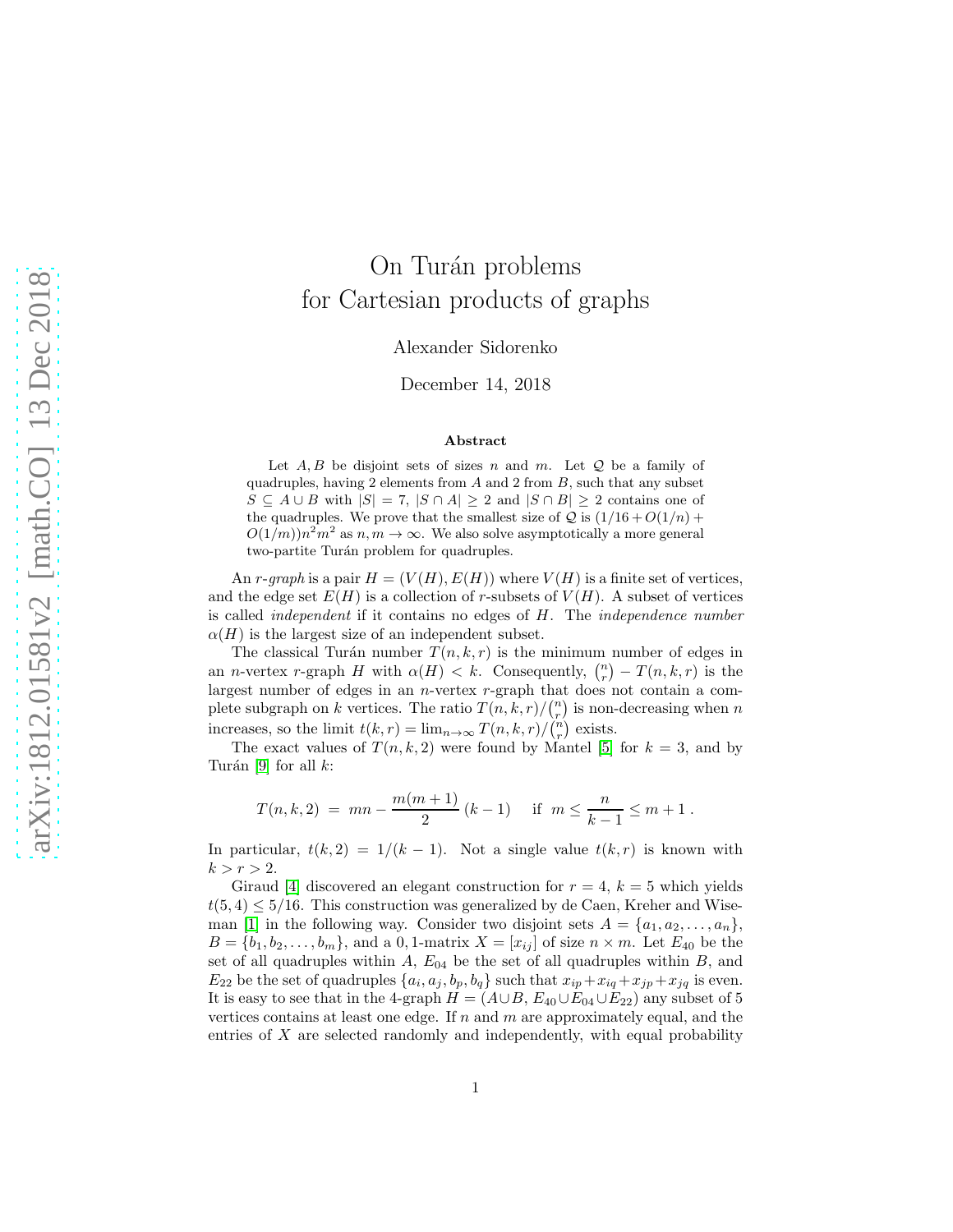## On Turán problems for Cartesian products of graphs

Alexander Sidorenko

December 14, 2018

## Abstract

Let  $A, B$  be disjoint sets of sizes n and m. Let  $Q$  be a family of quadruples, having 2 elements from  $A$  and 2 from  $B$ , such that any subset  $S \subseteq A \cup B$  with  $|S| = 7$ ,  $|S \cap A| \ge 2$  and  $|S \cap B| \ge 2$  contains one of the quadruples. We prove that the smallest size of  $Q$  is  $(1/16 + O(1/n) +$  $O(1/m) n^2 m^2$  as  $n, m \to \infty$ . We also solve asymptotically a more general two-partite Turán problem for quadruples.

An r-graph is a pair  $H = (V(H), E(H))$  where  $V(H)$  is a finite set of vertices, and the edge set  $E(H)$  is a collection of r-subsets of  $V(H)$ . A subset of vertices is called independent if it contains no edges of H. The independence number  $\alpha(H)$  is the largest size of an independent subset.

The classical Turán number  $T(n, k, r)$  is the minimum number of edges in an *n*-vertex r-graph H with  $\alpha(H) < k$ . Consequently,  $\binom{n}{r} - T(n, k, r)$  is the largest number of edges in an n-vertex r-graph that does not contain a complete subgraph on k vertices. The ratio  $T(n, k, r) / {n \choose r}$  is non-decreasing when n increases, so the limit  $t(k,r) = \lim_{n \to \infty} T(n,k,r)/\binom{n}{r}$  exists.

The exact values of  $T(n, k, 2)$  were found by Mantel [\[5\]](#page-3-0) for  $k = 3$ , and by Turán [\[9\]](#page-3-1) for all  $k$ :

$$
T(n,k,2) = mn - \frac{m(m+1)}{2} (k-1) \quad \text{if } m \le \frac{n}{k-1} \le m+1.
$$

In particular,  $t(k, 2) = 1/(k - 1)$ . Not a single value  $t(k, r)$  is known with  $k > r > 2$ .

Giraud [\[4\]](#page-3-2) discovered an elegant construction for  $r = 4$ ,  $k = 5$  which yields  $t(5, 4) \leq 5/16$ . This construction was generalized by de Caen, Kreher and Wise-man [\[1\]](#page-2-0) in the following way. Consider two disjoint sets  $A = \{a_1, a_2, \ldots, a_n\},\$  $B = \{b_1, b_2, \ldots, b_m\}$ , and a 0, 1-matrix  $X = [x_{ij}]$  of size  $n \times m$ . Let  $E_{40}$  be the set of all quadruples within  $A$ ,  $E_{04}$  be the set of all quadruples within  $B$ , and  $E_{22}$  be the set of quadruples  $\{a_i, a_j, b_p, b_q\}$  such that  $x_{ip} + x_{iq} + x_{jp} + x_{jq}$  is even. It is easy to see that in the 4-graph  $H = (A \cup B, E_{40} \cup E_{04} \cup E_{22})$  any subset of 5 vertices contains at least one edge. If  $n$  and  $m$  are approximately equal, and the entries of  $X$  are selected randomly and independently, with equal probability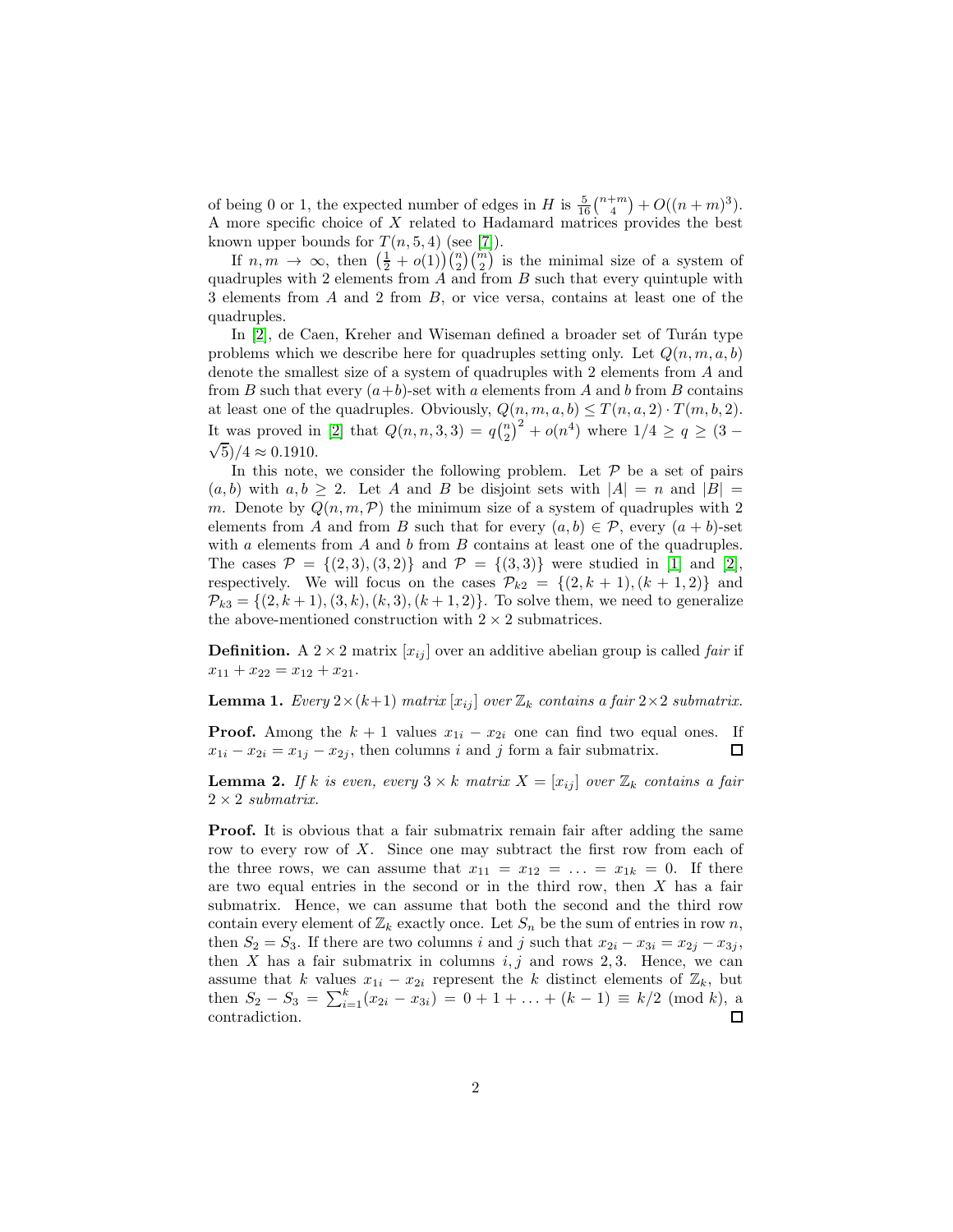of being 0 or 1, the expected number of edges in H is  $\frac{5}{16} {n+m \choose 4} + O((n+m)^3)$ . A more specific choice of X related to Hadamard matrices provides the best known upper bounds for  $T(n, 5, 4)$  (see [\[7\]](#page-3-3)).

If  $n,m \to \infty$ , then  $\left(\frac{1}{2} + o(1)\right)\binom{n}{2}\binom{m}{2}$  is the minimal size of a system of quadruples with 2 elements from  $A$  and from  $B$  such that every quintuple with 3 elements from A and 2 from B, or vice versa, contains at least one of the quadruples.

In  $[2]$ , de Caen, Kreher and Wiseman defined a broader set of Turán type problems which we describe here for quadruples setting only. Let  $Q(n, m, a, b)$ denote the smallest size of a system of quadruples with 2 elements from A and from B such that every  $(a+b)$ -set with a elements from A and b from B contains at least one of the quadruples. Obviously,  $Q(n, m, a, b) \leq T(n, a, 2) \cdot T(m, b, 2)$ . It was proved in [\[2\]](#page-3-4) that  $Q(n, n, 3, 3) = q{n \choose 2}^2 + o(n^4)$  where  $1/4 \ge q \ge (3 - \sqrt{5})/4 \approx 0.1910$  $\sqrt{5}/4 \approx 0.1910$ .

In this note, we consider the following problem. Let  $P$  be a set of pairs  $(a, b)$  with  $a, b \geq 2$ . Let A and B be disjoint sets with  $|A| = n$  and  $|B| =$ m. Denote by  $Q(n, m, \mathcal{P})$  the minimum size of a system of quadruples with 2 elements from A and from B such that for every  $(a, b) \in \mathcal{P}$ , every  $(a + b)$ -set with a elements from  $A$  and  $b$  from  $B$  contains at least one of the quadruples. The cases  $\mathcal{P} = \{(2,3), (3,2)\}\$  and  $\mathcal{P} = \{(3,3)\}\$  were studied in [\[1\]](#page-2-0) and [\[2\]](#page-3-4), respectively. We will focus on the cases  $\mathcal{P}_{k2} = \{(2, k+1), (k+1, 2)\}\$  and  $\mathcal{P}_{k3} = \{(2, k+1), (3, k), (k, 3), (k+1, 2)\}.$  To solve them, we need to generalize the above-mentioned construction with  $2 \times 2$  submatrices.

<span id="page-1-1"></span>**Definition.** A 2 × 2 matrix  $[x_{ii}]$  over an additive abelian group is called *fair* if  $x_{11} + x_{22} = x_{12} + x_{21}.$ 

**Lemma 1.** Every  $2 \times (k+1)$  matrix  $[x_{ij}]$  over  $\mathbb{Z}_k$  contains a fair  $2 \times 2$  submatrix.

**Proof.** Among the  $k + 1$  values  $x_{1i} - x_{2i}$  one can find two equal ones. If  $x_{1i} - x_{2i} = x_{1i} - x_{2i}$ , then columns *i* and *j* form a fair submatrix.  $x_{1i} - x_{2i} = x_{1j} - x_{2j}$ , then columns i and j form a fair submatrix.

<span id="page-1-0"></span>**Lemma 2.** If k is even, every  $3 \times k$  matrix  $X = [x_{ij}]$  over  $\mathbb{Z}_k$  contains a fair  $2 \times 2$  submatrix.

Proof. It is obvious that a fair submatrix remain fair after adding the same row to every row of X. Since one may subtract the first row from each of the three rows, we can assume that  $x_{11} = x_{12} = \ldots = x_{1k} = 0$ . If there are two equal entries in the second or in the third row, then  $X$  has a fair submatrix. Hence, we can assume that both the second and the third row contain every element of  $\mathbb{Z}_k$  exactly once. Let  $S_n$  be the sum of entries in row n, then  $S_2 = S_3$ . If there are two columns i and j such that  $x_{2i} - x_{3i} = x_{2j} - x_{3j}$ , then  $X$  has a fair submatrix in columns  $i, j$  and rows 2, 3. Hence, we can assume that k values  $x_{1i} - x_{2i}$  represent the k distinct elements of  $\mathbb{Z}_k$ , but then  $S_2 - S_3 = \sum_{i=1}^k (x_{2i} - x_{3i}) = 0 + 1 + \ldots + (k-1) \equiv k/2 \pmod{k}$ , a contradiction.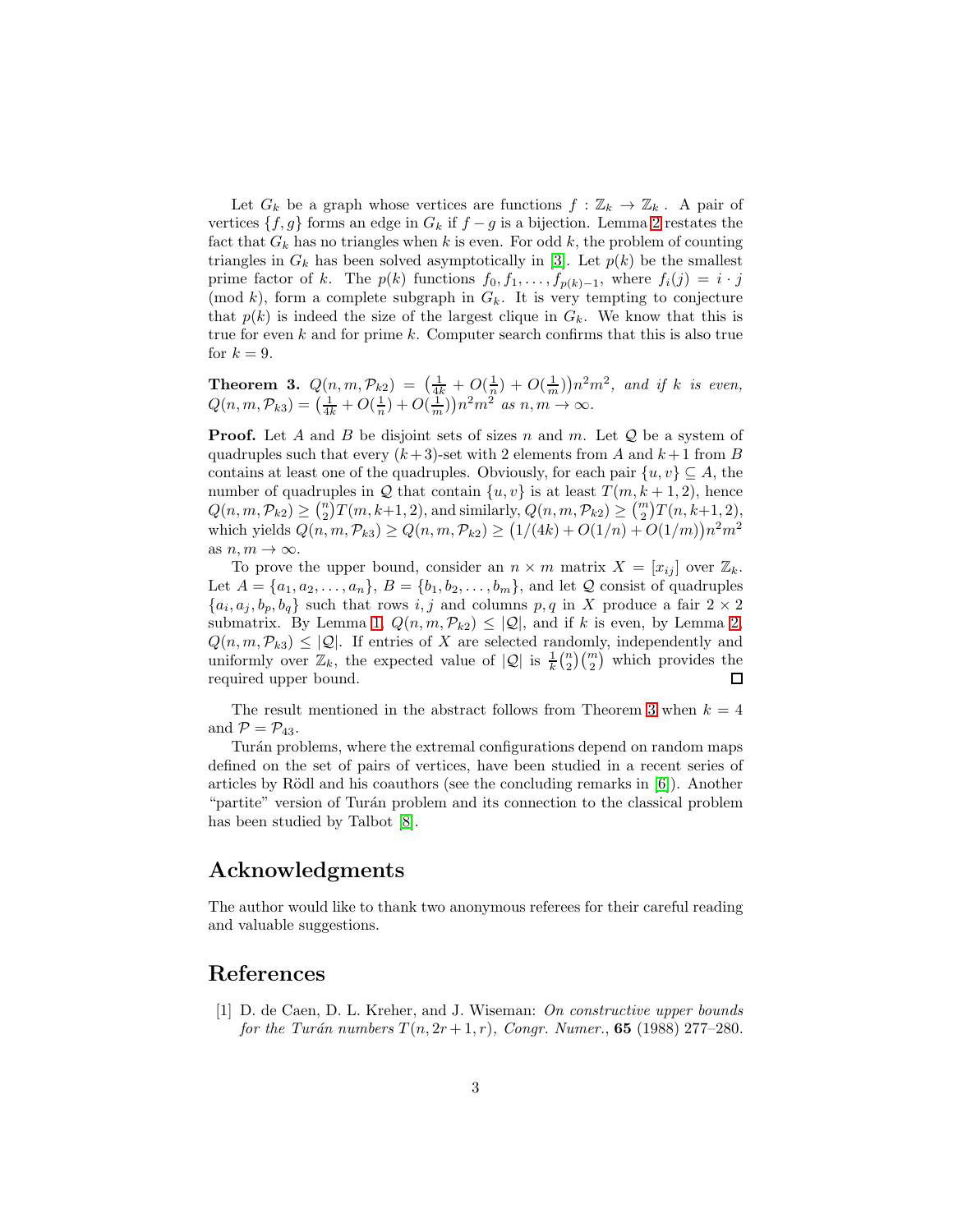Let  $G_k$  be a graph whose vertices are functions  $f : \mathbb{Z}_k \to \mathbb{Z}_k$ . A pair of vertices  $\{f, g\}$  forms an edge in  $G_k$  if  $f - g$  is a bijection. Lemma [2](#page-1-0) restates the fact that  $G_k$  has no triangles when k is even. For odd k, the problem of counting triangles in  $G_k$  has been solved asymptotically in [\[3\]](#page-3-5). Let  $p(k)$  be the smallest prime factor of k. The  $p(k)$  functions  $f_0, f_1, \ldots, f_{p(k)-1}$ , where  $f_i(j) = i \cdot j$ (mod k), form a complete subgraph in  $G_k$ . It is very tempting to conjecture that  $p(k)$  is indeed the size of the largest clique in  $G_k$ . We know that this is true for even  $k$  and for prime  $k$ . Computer search confirms that this is also true for  $k = 9$ .

<span id="page-2-1"></span>**Theorem 3.**  $Q(n, m, \mathcal{P}_{k2}) = \left(\frac{1}{4k} + O(\frac{1}{n}) + O(\frac{1}{m})\right)n^2m^2$ , and if k is even,  $Q(n, m, \mathcal{P}_{k3}) = \left(\frac{1}{4k} + O(\frac{1}{n}) + O(\frac{1}{m})\right)n^2 m^2$  as  $n, m \to \infty$ .

**Proof.** Let A and B be disjoint sets of sizes n and m. Let  $Q$  be a system of quadruples such that every  $(k+3)$ -set with 2 elements from A and  $k+1$  from B contains at least one of the quadruples. Obviously, for each pair  $\{u, v\} \subseteq A$ , the number of quadruples in Q that contain  $\{u, v\}$  is at least  $T(m, k + 1, 2)$ , hence  $Q(n, m, \mathcal{P}_{k2}) \geq {n \choose 2} T(m, k+1, 2)$ , and similarly,  $Q(n, m, \mathcal{P}_{k2}) \geq {m \choose 2} T(n, k+1, 2)$ , which yields  $Q(n, m, \mathcal{P}_{k3}) \ge Q(n, m, \mathcal{P}_{k2}) \ge (1/(4k) + O(1/n) + O(1/m))n^2m^2$ as  $n, m \to \infty$ .

To prove the upper bound, consider an  $n \times m$  matrix  $X = [x_{ij}]$  over  $\mathbb{Z}_k$ . Let  $A = \{a_1, a_2, \ldots, a_n\}, B = \{b_1, b_2, \ldots, b_m\}$ , and let  $\mathcal Q$  consist of quadruples  $\{a_i, a_j, b_p, b_q\}$  such that rows i, j and columns p, q in X produce a fair  $2 \times 2$ submatrix. By Lemma [1,](#page-1-1)  $Q(n, m, \mathcal{P}_{k2}) \leq |\mathcal{Q}|$ , and if k is even, by Lemma [2,](#page-1-0)  $Q(n, m, \mathcal{P}_{k3}) \leq |\mathcal{Q}|$ . If entries of X are selected randomly, independently and uniformly over  $\mathbb{Z}_k$ , the expected value of  $|Q|$  is  $\frac{1}{k} {n \choose 2} {m \choose 2}$  which provides the required upper bound.  $\Box$ 

The result mentioned in the abstract follows from Theorem [3](#page-2-1) when  $k = 4$ and  $\mathcal{P} = \mathcal{P}_{43}$ .

Turán problems, where the extremal configurations depend on random maps defined on the set of pairs of vertices, have been studied in a recent series of articles by Rödl and his coauthors (see the concluding remarks in  $[6]$ ). Another "partite" version of Turán problem and its connection to the classical problem has been studied by Talbot [\[8\]](#page-3-7).

## Acknowledgments

The author would like to thank two anonymous referees for their careful reading and valuable suggestions.

## <span id="page-2-0"></span>References

[1] D. de Caen, D. L. Kreher, and J. Wiseman: On constructive upper bounds for the Turán numbers  $T(n, 2r + 1, r)$ , Congr. Numer., **65** (1988) 277–280.